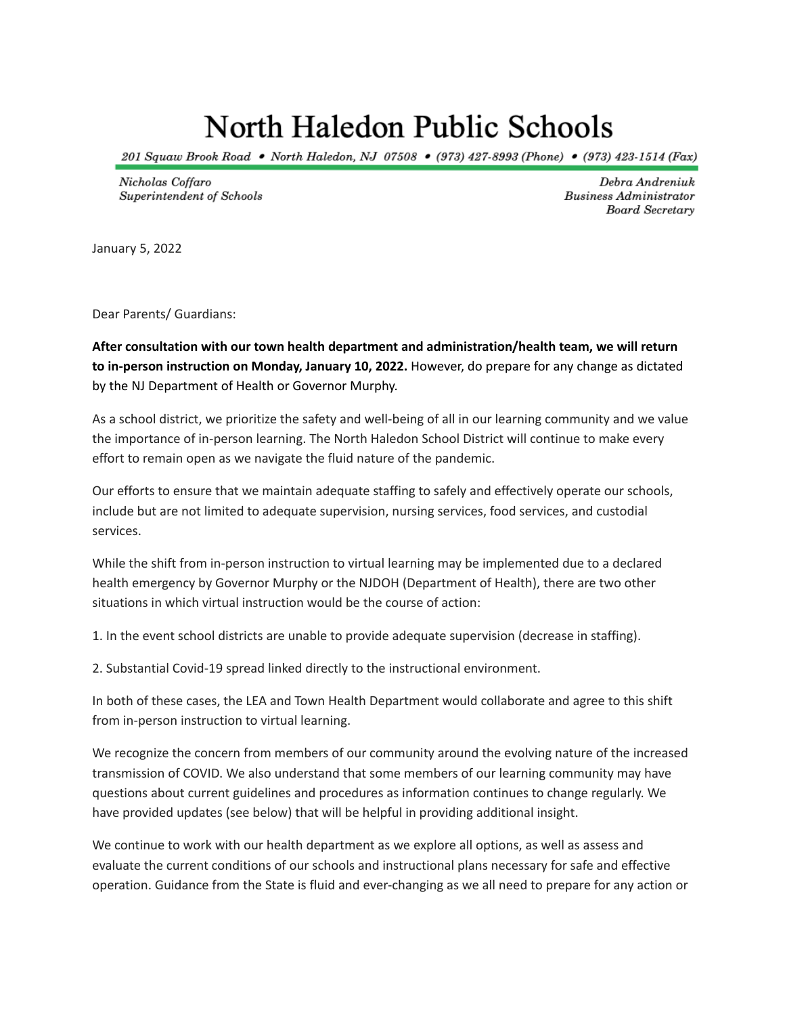# North Haledon Public Schools

201 Squaw Brook Road • North Haledon, NJ 07508 • (973) 427-8993 (Phone) • (973) 423-1514 (Fax)

Nicholas Coffaro Superintendent of Schools

Debra Andreniuk **Business Administrator Board Secretary** 

January 5, 2022

Dear Parents/ Guardians:

**After consultation with our town health department and administration/health team, we will return to in-person instruction on Monday, January 10, 2022.** However, do prepare for any change as dictated by the NJ Department of Health or Governor Murphy.

As a school district, we prioritize the safety and well-being of all in our learning community and we value the importance of in-person learning. The North Haledon School District will continue to make every effort to remain open as we navigate the fluid nature of the pandemic.

Our efforts to ensure that we maintain adequate staffing to safely and effectively operate our schools, include but are not limited to adequate supervision, nursing services, food services, and custodial services.

While the shift from in-person instruction to virtual learning may be implemented due to a declared health emergency by Governor Murphy or the NJDOH (Department of Health), there are two other situations in which virtual instruction would be the course of action:

1. In the event school districts are unable to provide adequate supervision (decrease in staffing).

2. Substantial Covid-19 spread linked directly to the instructional environment.

In both of these cases, the LEA and Town Health Department would collaborate and agree to this shift from in-person instruction to virtual learning.

We recognize the concern from members of our community around the evolving nature of the increased transmission of COVID. We also understand that some members of our learning community may have questions about current guidelines and procedures as information continues to change regularly. We have provided updates (see below) that will be helpful in providing additional insight.

We continue to work with our health department as we explore all options, as well as assess and evaluate the current conditions of our schools and instructional plans necessary for safe and effective operation. Guidance from the State is fluid and ever-changing as we all need to prepare for any action or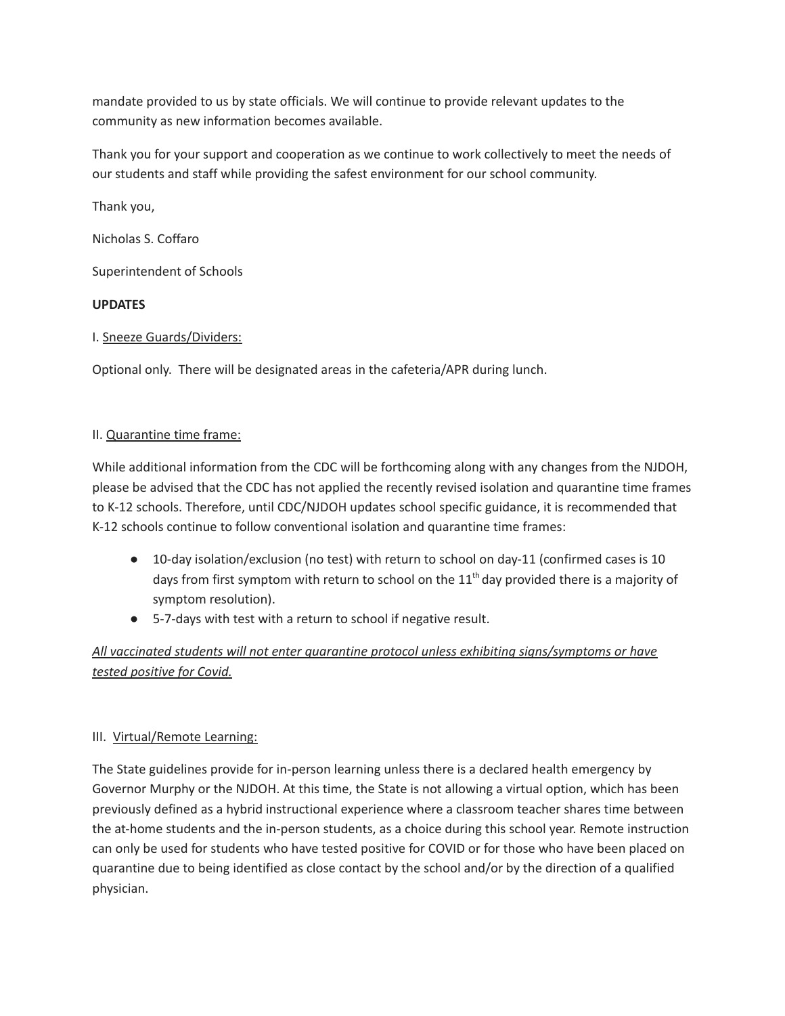mandate provided to us by state officials. We will continue to provide relevant updates to the community as new information becomes available.

Thank you for your support and cooperation as we continue to work collectively to meet the needs of our students and staff while providing the safest environment for our school community.

Thank you,

Nicholas S. Coffaro

Superintendent of Schools

## **UPDATES**

## I. Sneeze Guards/Dividers:

Optional only. There will be designated areas in the cafeteria/APR during lunch.

### II. Quarantine time frame:

While additional information from the CDC will be forthcoming along with any changes from the NJDOH, please be advised that the CDC has not applied the recently revised isolation and quarantine time frames to K-12 schools. Therefore, until CDC/NJDOH updates school specific guidance, it is recommended that K-12 schools continue to follow conventional isolation and quarantine time frames:

- 10-day isolation/exclusion (no test) with return to school on day-11 (confirmed cases is 10 days from first symptom with return to school on the 11<sup>th</sup> day provided there is a majority of symptom resolution).
- 5-7-days with test with a return to school if negative result.

# *All vaccinated students will not enter quarantine protocol unless exhibiting signs/symptoms or have tested positive for Covid.*

## III. Virtual/Remote Learning:

The State guidelines provide for in-person learning unless there is a declared health emergency by Governor Murphy or the NJDOH. At this time, the State is not allowing a virtual option, which has been previously defined as a hybrid instructional experience where a classroom teacher shares time between the at-home students and the in-person students, as a choice during this school year. Remote instruction can only be used for students who have tested positive for COVID or for those who have been placed on quarantine due to being identified as close contact by the school and/or by the direction of a qualified physician.